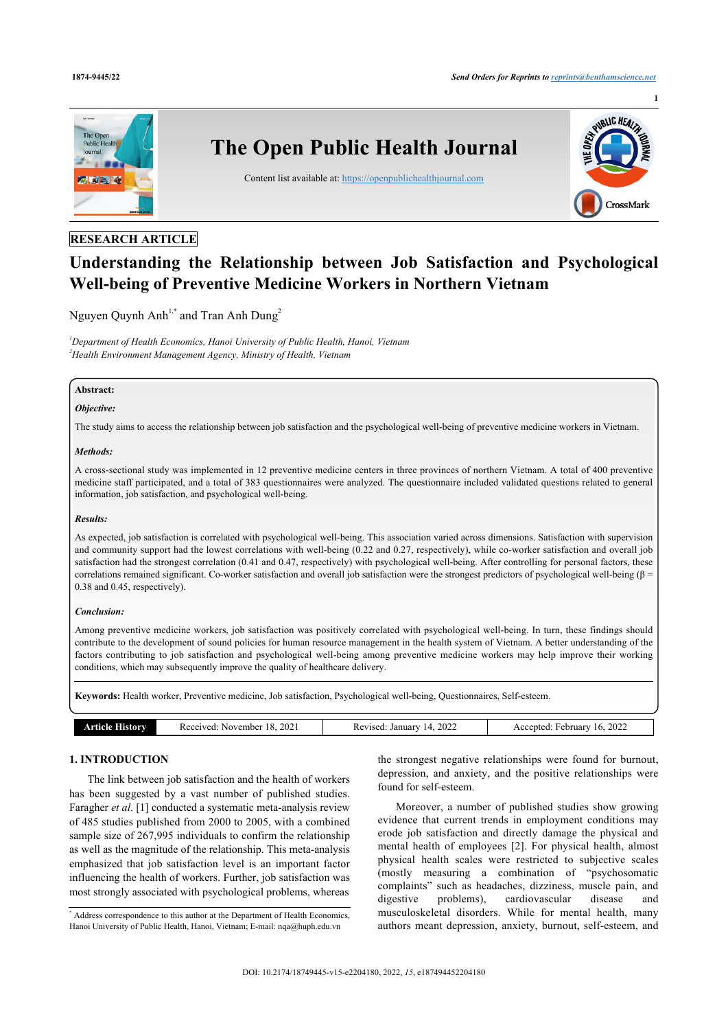

## **RESEARCH ARTICLE**

# **Understanding the Relationship between Job Satisfaction and Psychological Well-being of Preventive Medicine Workers in Northern Vietnam**

Nguyen Quynh Anh<sup>[1,](#page-0-0)[\\*](#page-0-1)</sup> and Tran Anh Dung<sup>[2](#page-0-2)</sup>

<span id="page-0-2"></span><span id="page-0-0"></span>*<sup>1</sup>Department of Health Economics, Hanoi University of Public Health, Hanoi, Vietnam <sup>2</sup>Health Environment Management Agency, Ministry of Health, Vietnam*

## **Abstract:**

## *Objective:*

The study aims to access the relationship between job satisfaction and the psychological well-being of preventive medicine workers in Vietnam.

#### *Methods:*

A cross-sectional study was implemented in 12 preventive medicine centers in three provinces of northern Vietnam. A total of 400 preventive medicine staff participated, and a total of 383 questionnaires were analyzed. The questionnaire included validated questions related to general information, job satisfaction, and psychological well-being.

## *Results:*

As expected, job satisfaction is correlated with psychological well-being. This association varied across dimensions. Satisfaction with supervision and community support had the lowest correlations with well-being (0.22 and 0.27, respectively), while co-worker satisfaction and overall job satisfaction had the strongest correlation (0.41 and 0.47, respectively) with psychological well-being. After controlling for personal factors, these correlations remained significant. Co-worker satisfaction and overall job satisfaction were the strongest predictors of psychological well-being ( $\beta$  = 0.38 and 0.45, respectively).

## *Conclusion:*

Among preventive medicine workers, job satisfaction was positively correlated with psychological well-being. In turn, these findings should contribute to the development of sound policies for human resource management in the health system of Vietnam. A better understanding of the factors contributing to job satisfaction and psychological well-being among preventive medicine workers may help improve their working conditions, which may subsequently improve the quality of healthcare delivery.

**Keywords:** Health worker, Preventive medicine, Job satisfaction, Psychological well-being, Questionnaires, Self-esteem.

| 2022<br>January<br><i>ebruary</i><br>Received:<br>Revised:<br>November<br>2022 |
|--------------------------------------------------------------------------------|
|--------------------------------------------------------------------------------|

## **1. INTRODUCTION**

The link between job satisfaction and the health of workers has been suggested by a vast number of published studies. Faragher *et al*. [\[1\]](#page-8-0) conducted a systematic meta-analysis review of 485 studies published from 2000 to 2005, with a combined sample size of 267,995 individuals to confirm the relationship as well as the magnitude of the relationship. This meta-analysis emphasized that job satisfaction level is an important factor influencing the health of workers. Further, job satisfaction was most strongly associated with psychological problems, whereas

the strongest negative relationships were found for burnout, depression, and anxiety, and the positive relationships were found for self-esteem.

Moreover, a number of published studies show growing evidence that current trends in employment conditions may erode job satisfaction and directly damage the physical and mental health of employees [\[2\]](#page-8-1). For physical health, almost physical health scales were restricted to subjective scales (mostly measuring a combination of "psychosomatic complaints" such as headaches, dizziness, muscle pain, and digestive problems), cardiovascular disease and musculoskeletal disorders. While for mental health, many authors meant depression, anxiety, burnout, self-esteem, and

<span id="page-0-1"></span><sup>\*</sup> Address correspondence to this author at the Department of Health Economics, Hanoi University of Public Health, Hanoi, Vietnam; E-mail: [nqa@huph.edu.vn](mailto:nqa@huph.edu.vn)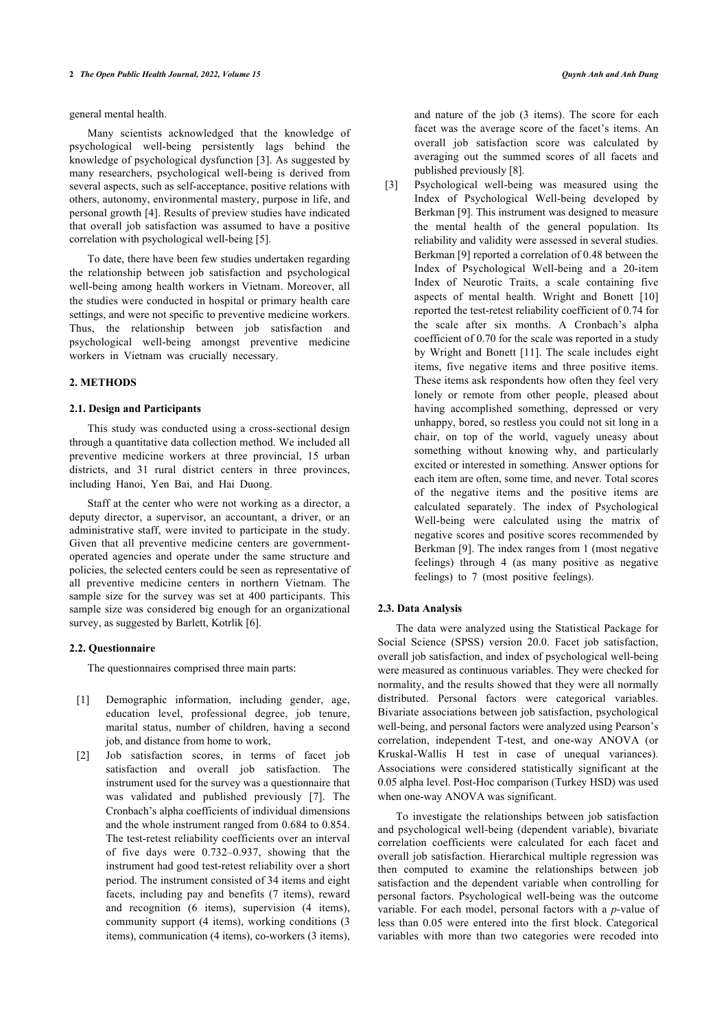general mental health.

Many scientists acknowledged that the knowledge of psychological well-being persistently lags behind the knowledge of psychological dysfunction [[3](#page-8-2)]. As suggested by many researchers, psychological well-being is derived from several aspects, such as self-acceptance, positive relations with others, autonomy, environmental mastery, purpose in life, and personal growth [[4](#page-8-3)]. Results of preview studies have indicated that overall job satisfaction was assumed to have a positive correlation with psychological well-being [\[5\]](#page-8-4).

To date, there have been few studies undertaken regarding the relationship between job satisfaction and psychological well-being among health workers in Vietnam. Moreover, all the studies were conducted in hospital or primary health care settings, and were not specific to preventive medicine workers. Thus, the relationship between job satisfaction and psychological well-being amongst preventive medicine workers in Vietnam was crucially necessary.

## **2. METHODS**

## **2.1. Design and Participants**

This study was conducted using a cross-sectional design through a quantitative data collection method. We included all preventive medicine workers at three provincial, 15 urban districts, and 31 rural district centers in three provinces, including Hanoi, Yen Bai, and Hai Duong.

Staff at the center who were not working as a director, a deputy director, a supervisor, an accountant, a driver, or an administrative staff, were invited to participate in the study. Given that all preventive medicine centers are governmentoperated agencies and operate under the same structure and policies, the selected centers could be seen as representative of all preventive medicine centers in northern Vietnam. The sample size for the survey was set at 400 participants. This sample size was considered big enough for an organizational survey, as suggested by Barlett, Kotrlik [\[6\]](#page-8-5).

## **2.2. Questionnaire**

The questionnaires comprised three main parts:

- [1] Demographic information, including gender, age, education level, professional degree, job tenure, marital status, number of children, having a second job, and distance from home to work,
- [2] Job satisfaction scores, in terms of facet job satisfaction and overall job satisfaction. The instrument used for the survey was a questionnaire that was validated and published previously[[7\]](#page-8-6). The Cronbach's alpha coefficients of individual dimensions and the whole instrument ranged from 0.684 to 0.854. The test-retest reliability coefficients over an interval of five days were 0.732–0.937, showing that the instrument had good test-retest reliability over a short period. The instrument consisted of 34 items and eight facets, including pay and benefits (7 items), reward and recognition (6 items), supervision (4 items), community support (4 items), working conditions (3 items), communication (4 items), co-workers (3 items),

and nature of the job (3 items). The score for each facet was the average score of the facet's items. An overall job satisfaction score was calculated by averaging out the summed scores of all facets and published previously [\[8\]](#page-8-7).

[3] Psychological well-being was measured using the Index of Psychological Well-being developed by Berkman [\[9\]](#page-9-0). This instrument was designed to measure the mental health of the general population. Its reliability and validity were assessed in several studies. Berkman [\[9\]](#page-9-0) reported a correlation of 0.48 between the Index of Psychological Well-being and a 20-item Index of Neurotic Traits, a scale containing five aspects of mental health. Wright and Bonett [\[10\]](#page-9-1) reported the test-retest reliability coefficient of 0.74 for the scale after six months. A Cronbach's alpha coefficient of 0.70 for the scale was reported in a study by Wright and Bonett [[11\]](#page-9-2). The scale includes eight items, five negative items and three positive items. These items ask respondents how often they feel very lonely or remote from other people, pleased about having accomplished something, depressed or very unhappy, bored, so restless you could not sit long in a chair, on top of the world, vaguely uneasy about something without knowing why, and particularly excited or interested in something. Answer options for each item are often, some time, and never. Total scores of the negative items and the positive items are calculated separately. The index of Psychological Well-being were calculated using the matrix of negative scores and positive scores recommended by Berkman [\[9\]](#page-9-0). The index ranges from 1 (most negative feelings) through 4 (as many positive as negative feelings) to 7 (most positive feelings).

## **2.3. Data Analysis**

The data were analyzed using the Statistical Package for Social Science (SPSS) version 20.0. Facet job satisfaction, overall job satisfaction, and index of psychological well-being were measured as continuous variables. They were checked for normality, and the results showed that they were all normally distributed. Personal factors were categorical variables. Bivariate associations between job satisfaction, psychological well-being, and personal factors were analyzed using Pearson's correlation, independent T-test, and one-way ANOVA (or Kruskal-Wallis H test in case of unequal variances). Associations were considered statistically significant at the 0.05 alpha level. Post-Hoc comparison (Turkey HSD) was used when one-way ANOVA was significant.

To investigate the relationships between job satisfaction and psychological well-being (dependent variable), bivariate correlation coefficients were calculated for each facet and overall job satisfaction. Hierarchical multiple regression was then computed to examine the relationships between job satisfaction and the dependent variable when controlling for personal factors. Psychological well-being was the outcome variable. For each model, personal factors with a *p*-value of less than 0.05 were entered into the first block. Categorical variables with more than two categories were recoded into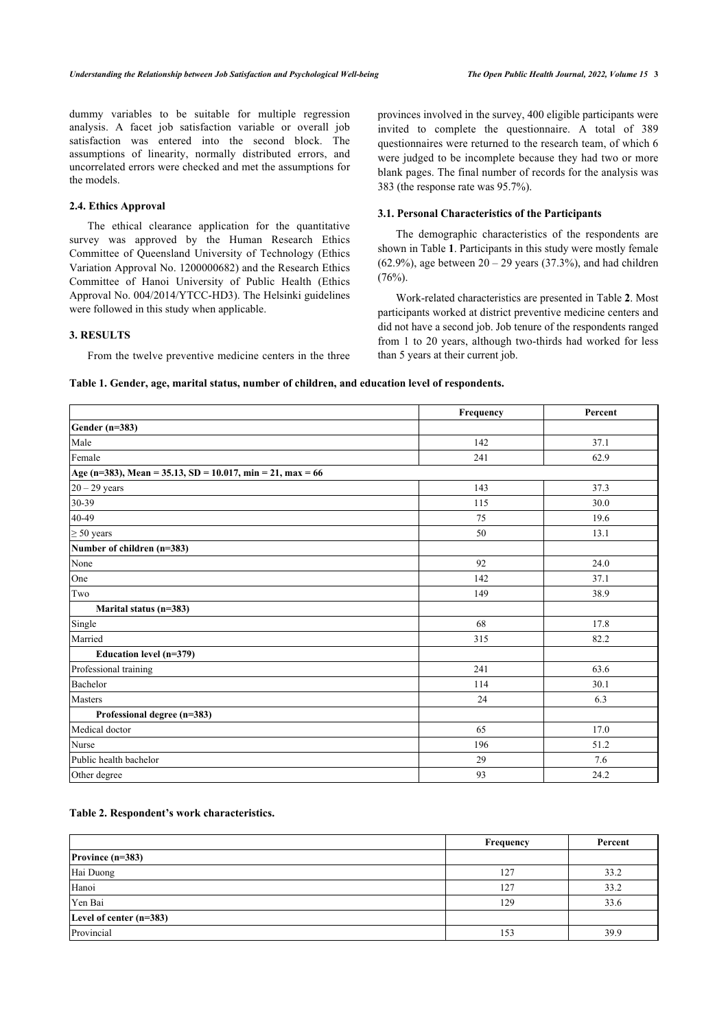dummy variables to be suitable for multiple regression analysis. A facet job satisfaction variable or overall job satisfaction was entered into the second block. The assumptions of linearity, normally distributed errors, and uncorrelated errors were checked and met the assumptions for the models.

## **2.4. Ethics Approval**

The ethical clearance application for the quantitative survey was approved by the Human Research Ethics Committee of Queensland University of Technology (Ethics Variation Approval No. 1200000682) and the Research Ethics Committee of Hanoi University of Public Health (Ethics Approval No. 004/2014/YTCC-HD3). The Helsinki guidelines were followed in this study when applicable.

#### **3. RESULTS**

From the twelve preventive medicine centers in the three

provinces involved in the survey, 400 eligible participants were invited to complete the questionnaire. A total of 389 questionnaires were returned to the research team, of which 6 were judged to be incomplete because they had two or more blank pages. The final number of records for the analysis was 383 (the response rate was 95.7%).

#### **3.1. Personal Characteristics of the Participants**

The demographic characteristics of the respondents are shown in Table **[1](#page-2-0)**. Participants in this study were mostly female (62.9%), age between  $20 - 29$  years (37.3%), and had children  $(76%)$ .

Work-related characteristics are presented in Table **[2](#page-2-1)**. Most participants worked at district preventive medicine centers and did not have a second job. Job tenure of the respondents ranged from 1 to 20 years, although two-thirds had worked for less than 5 years at their current job.

#### <span id="page-2-0"></span>**Table 1. Gender, age, marital status, number of children, and education level of respondents.**

|                                                            | Frequency | Percent |
|------------------------------------------------------------|-----------|---------|
| Gender $(n=383)$                                           |           |         |
| Male                                                       | 142       | 37.1    |
| Female                                                     | 241       | 62.9    |
| Age (n=383), Mean = 35.13, SD = 10.017, min = 21, max = 66 |           |         |
| $20 - 29$ years                                            | 143       | 37.3    |
| 30-39                                                      | 115       | 30.0    |
| 40-49                                                      | 75        | 19.6    |
| $\geq 50$ years                                            | 50        | 13.1    |
| Number of children (n=383)                                 |           |         |
| None                                                       | 92        | 24.0    |
| One                                                        | 142       | 37.1    |
| Two                                                        | 149       | 38.9    |
| Marital status (n=383)                                     |           |         |
| Single                                                     | 68        | 17.8    |
| Married                                                    | 315       | 82.2    |
| Education level (n=379)                                    |           |         |
| Professional training                                      | 241       | 63.6    |
| Bachelor                                                   | 114       | 30.1    |
| Masters                                                    | 24        | 6.3     |
| Professional degree (n=383)                                |           |         |
| Medical doctor                                             | 65        | 17.0    |
| Nurse                                                      | 196       | 51.2    |
| Public health bachelor                                     | 29        | 7.6     |
| Other degree                                               | 93        | 24.2    |

## <span id="page-2-1"></span>**Table 2. Respondent's work characteristics.**

|                           | Frequency | Percent |
|---------------------------|-----------|---------|
| Province $(n=383)$        |           |         |
| Hai Duong                 | 127       | 33.2    |
| Hanoi                     | 127       | 33.2    |
| Yen Bai                   | 129       | 33.6    |
| Level of center $(n=383)$ |           |         |
| Provincial                | 153       | 39.9    |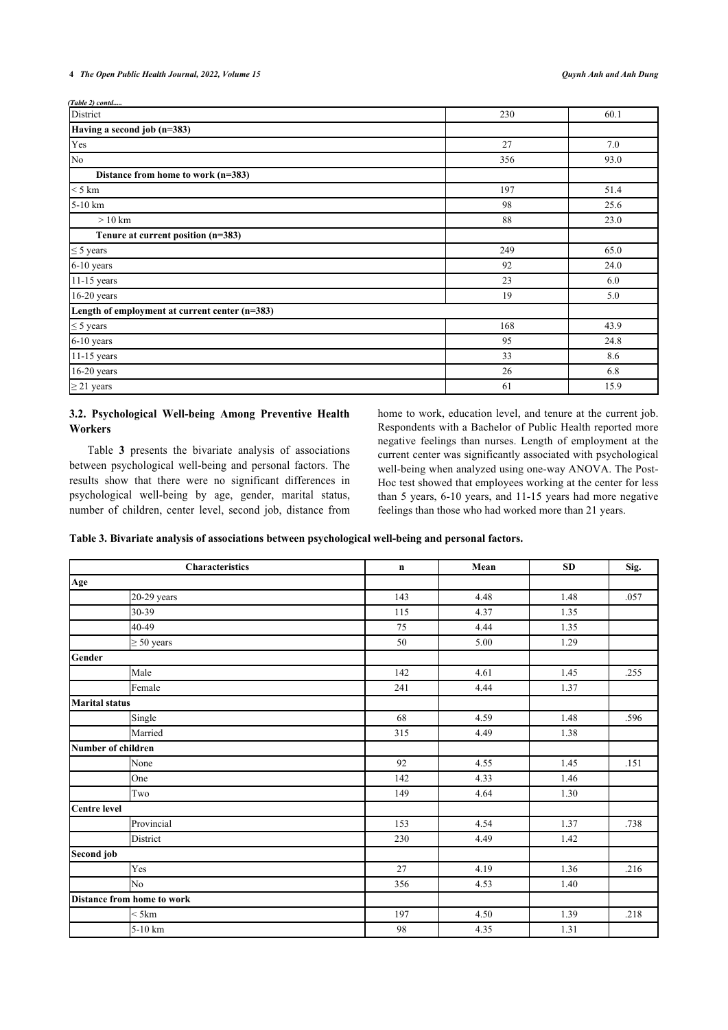*(Table 2) contd.....*

| -----------------<br>District                  | 230 | 60.1 |
|------------------------------------------------|-----|------|
| Having a second job (n=383)                    |     |      |
| Yes                                            | 27  | 7.0  |
| No                                             | 356 | 93.0 |
| Distance from home to work (n=383)             |     |      |
| $<$ 5 km                                       | 197 | 51.4 |
| $5-10$ km                                      | 98  | 25.6 |
| $>10$ km                                       | 88  | 23.0 |
| Tenure at current position (n=383)             |     |      |
| $\leq$ 5 years                                 | 249 | 65.0 |
| 6-10 years                                     | 92  | 24.0 |
| 11-15 years                                    | 23  | 6.0  |
| 16-20 years                                    | 19  | 5.0  |
| Length of employment at current center (n=383) |     |      |
| $\leq$ 5 years                                 | 168 | 43.9 |
| 6-10 years                                     | 95  | 24.8 |
| 11-15 years                                    | 33  | 8.6  |
| $16-20$ years                                  | 26  | 6.8  |
| $\geq$ 21 years                                | 61  | 15.9 |

## **3.2. Psychological Well-being Among Preventive Health Workers**

Table**3** presents the bivariate analysis of associations between psychological well-being and personal factors. The results show that there were no significant differences in psychological well-being by age, gender, marital status, number of children, center level, second job, distance from home to work, education level, and tenure at the current job. Respondents with a Bachelor of Public Health reported more negative feelings than nurses. Length of employment at the current center was significantly associated with psychological well-being when analyzed using one-way ANOVA. The Post-Hoc test showed that employees working at the center for less than 5 years, 6-10 years, and 11-15 years had more negative feelings than those who had worked more than 21 years.

<span id="page-3-0"></span>**Table 3. Bivariate analysis of associations between psychological well-being and personal factors.**

| <b>Characteristics</b>     | $\mathbf n$ | Mean | <b>SD</b> | Sig. |
|----------------------------|-------------|------|-----------|------|
| Age                        |             |      |           |      |
| $20-29$ years              | 143         | 4.48 | 1.48      | .057 |
| 30-39                      | 115         | 4.37 | 1.35      |      |
| 40-49                      | 75          | 4.44 | 1.35      |      |
| $\geq 50$ years            | 50          | 5.00 | 1.29      |      |
| Gender                     |             |      |           |      |
| Male                       | 142         | 4.61 | 1.45      | .255 |
| Female                     | 241         | 4.44 | 1.37      |      |
| <b>Marital status</b>      |             |      |           |      |
| Single                     | 68          | 4.59 | 1.48      | .596 |
| Married                    | 315         | 4.49 | 1.38      |      |
| Number of children         |             |      |           |      |
| None                       | 92          | 4.55 | 1.45      | .151 |
| One                        | 142         | 4.33 | 1.46      |      |
| Two                        | 149         | 4.64 | 1.30      |      |
| Centre level               |             |      |           |      |
| Provincial                 | 153         | 4.54 | 1.37      | .738 |
| District                   | 230         | 4.49 | 1.42      |      |
| Second job                 |             |      |           |      |
| Yes                        | 27          | 4.19 | 1.36      | .216 |
| N <sub>o</sub>             | 356         | 4.53 | 1.40      |      |
| Distance from home to work |             |      |           |      |
| $<$ 5 km                   | 197         | 4.50 | 1.39      | .218 |
| 5-10 km                    | 98          | 4.35 | 1.31      |      |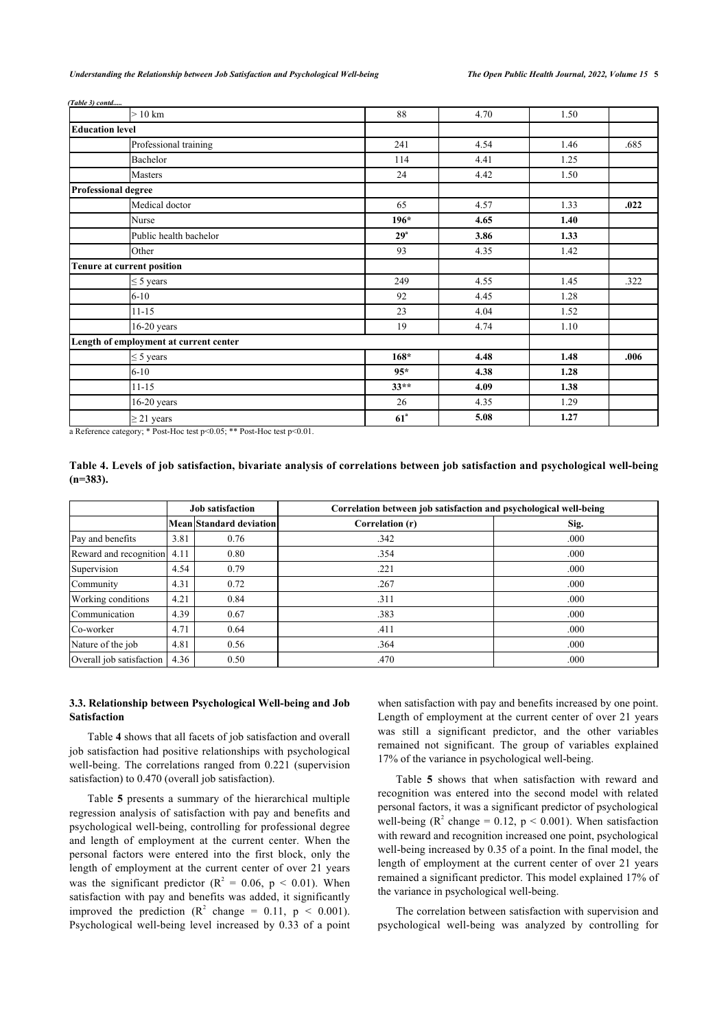*(Table ) contd.....*

|                        | $>10$ km                               | 88              | 4.70 | 1.50 |      |
|------------------------|----------------------------------------|-----------------|------|------|------|
| <b>Education level</b> |                                        |                 |      |      |      |
|                        | Professional training                  | 241             | 4.54 | 1.46 | .685 |
|                        | Bachelor                               | 114             | 4.41 | 1.25 |      |
|                        | Masters                                | 24              | 4.42 | 1.50 |      |
|                        | <b>Professional degree</b>             |                 |      |      |      |
|                        | Medical doctor                         | 65              | 4.57 | 1.33 | .022 |
|                        | Nurse                                  | $196*$          | 4.65 | 1.40 |      |
|                        | Public health bachelor                 | 29 <sup>a</sup> | 3.86 | 1.33 |      |
|                        | Other                                  | 93              | 4.35 | 1.42 |      |
|                        | Tenure at current position             |                 |      |      |      |
|                        | $\leq$ 5 years                         | 249             | 4.55 | 1.45 | .322 |
|                        | $6 - 10$                               | 92              | 4.45 | 1.28 |      |
|                        | $11 - 15$                              | 23              | 4.04 | 1.52 |      |
|                        | $16-20$ years                          | 19              | 4.74 | 1.10 |      |
|                        | Length of employment at current center |                 |      |      |      |
|                        | $\leq$ 5 years                         | $168*$          | 4.48 | 1.48 | .006 |
|                        | $6 - 10$                               | $95*$           | 4.38 | 1.28 |      |
|                        | $11 - 15$                              | $33**$          | 4.09 | 1.38 |      |
|                        | $16-20$ years                          | 26              | 4.35 | 1.29 |      |
|                        | $\geq$ 21 years                        | 61 <sup>a</sup> | 5.08 | 1.27 |      |

a Reference category; \* Post-Hoc test p<0.05; \*\* Post-Hoc test p<0.01.

<span id="page-4-0"></span>**Table 4. Levels of job satisfaction, bivariate analysis of correlations between job satisfaction and psychological well-being (n=383).**

|                             |      | <b>Job satisfaction</b> | Correlation between job satisfaction and psychological well-being |      |
|-----------------------------|------|-------------------------|-------------------------------------------------------------------|------|
|                             |      | Mean Standard deviation | Correlation (r)                                                   | Sig. |
| Pay and benefits            | 3.81 | 0.76                    | .342                                                              | .000 |
| Reward and recognition 4.11 |      | 0.80                    | .354                                                              | .000 |
| Supervision                 | 4.54 | 0.79                    | .221                                                              | .000 |
| Community                   | 4.31 | 0.72                    | .267                                                              | .000 |
| Working conditions          | 4.21 | 0.84                    | .311                                                              | .000 |
| Communication               | 4.39 | 0.67                    | .383                                                              | .000 |
| Co-worker                   | 4.71 | 0.64                    | .411                                                              | .000 |
| Nature of the job           | 4.81 | 0.56                    | .364                                                              | .000 |
| Overall job satisfaction    | 4.36 | 0.50                    | .470                                                              | .000 |

## **3.3. Relationship between Psychological Well-being and Job Satisfaction**

Table **[4](#page-4-0)** shows that all facets of job satisfaction and overall job satisfaction had positive relationships with psychological well-being. The correlations ranged from 0.221 (supervision satisfaction) to 0.470 (overall job satisfaction).

Table **[5](#page-5-0)** presents a summary of the hierarchical multiple regression analysis of satisfaction with pay and benefits and psychological well-being, controlling for professional degree and length of employment at the current center. When the personal factors were entered into the first block, only the length of employment at the current center of over 21 years was the significant predictor ( $R^2 = 0.06$ ,  $p < 0.01$ ). When satisfaction with pay and benefits was added, it significantly improved the prediction ( $R^2$  change = 0.11,  $p \le 0.001$ ). Psychological well-being level increased by 0.33 of a point when satisfaction with pay and benefits increased by one point. Length of employment at the current center of over 21 years was still a significant predictor, and the other variables remained not significant. The group of variables explained 17% of the variance in psychological well-being.

Table**5** shows that when satisfaction with reward and recognition was entered into the second model with related personal factors, it was a significant predictor of psychological well-being ( $\mathbb{R}^2$  change = 0.12,  $p < 0.001$ ). When satisfaction with reward and recognition increased one point, psychological well-being increased by 0.35 of a point. In the final model, the length of employment at the current center of over 21 years remained a significant predictor. This model explained 17% of the variance in psychological well-being.

The correlation between satisfaction with supervision and psychological well-being was analyzed by controlling for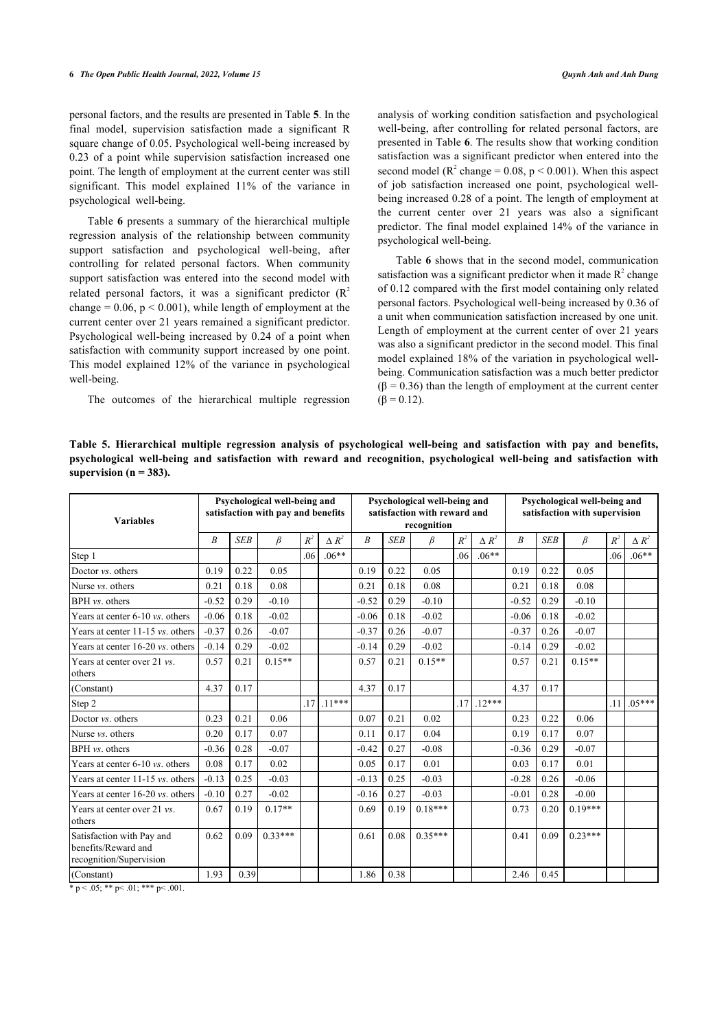personal factors, and the results are presented in Table **[5](#page-5-0)**. In the final model, supervision satisfaction made a significant R square change of 0.05. Psychological well-being increased by 0.23 of a point while supervision satisfaction increased one point. The length of employment at the current center was still significant. This model explained 11% of the variance in psychological well-being.

Table **[6](#page-5-1)** presents a summary of the hierarchical multiple regression analysis of the relationship between community support satisfaction and psychological well-being, after controlling for related personal factors. When community support satisfaction was entered into the second model with related personal factors, it was a significant predictor  $(R^2)$ change =  $0.06$ ,  $p < 0.001$ ), while length of employment at the current center over 21 years remained a significant predictor. Psychological well-being increased by 0.24 of a point when satisfaction with community support increased by one point. This model explained 12% of the variance in psychological well-being.

The outcomes of the hierarchical multiple regression

analysis of working condition satisfaction and psychological well-being, after controlling for related personal factors, are presented in Table **[6](#page-5-1)**. The results show that working condition satisfaction was a significant predictor when entered into the second model ( $\mathbb{R}^2$  change = 0.08, p < 0.001). When this aspect of job satisfaction increased one point, psychological wellbeing increased 0.28 of a point. The length of employment at the current center over 21 years was also a significant predictor. The final model explained 14% of the variance in psychological well-being.

Table **[6](#page-5-1)** shows that in the second model, communication satisfaction was a significant predictor when it made  $R^2$  change of 0.12 compared with the first model containing only related personal factors. Psychological well-being increased by 0.36 of a unit when communication satisfaction increased by one unit. Length of employment at the current center of over 21 years was also a significant predictor in the second model. This final model explained 18% of the variation in psychological wellbeing. Communication satisfaction was a much better predictor  $(\beta = 0.36)$  than the length of employment at the current center  $(\beta = 0.12)$ .

<span id="page-5-0"></span>**Table 5. Hierarchical multiple regression analysis of psychological well-being and satisfaction with pay and benefits, psychological well-being and satisfaction with reward and recognition, psychological well-being and satisfaction with supervision (n = 383).**

| <b>Variables</b>                                                            |                  |            | Psychological well-being and<br>satisfaction with pay and benefits |       |               |         |            | Psychological well-being and<br>satisfaction with reward and<br>recognition |       |               |                  |            | Psychological well-being and<br>satisfaction with supervision |       |               |
|-----------------------------------------------------------------------------|------------------|------------|--------------------------------------------------------------------|-------|---------------|---------|------------|-----------------------------------------------------------------------------|-------|---------------|------------------|------------|---------------------------------------------------------------|-------|---------------|
|                                                                             | $\boldsymbol{B}$ | <b>SEB</b> | $\beta$                                                            | $R^2$ | $\Lambda R^2$ | B       | <b>SEB</b> | β                                                                           | $R^2$ | $\Lambda R^2$ | $\boldsymbol{B}$ | <b>SEB</b> | β                                                             | $R^2$ | $\Lambda R^2$ |
| Step 1                                                                      |                  |            |                                                                    | .06   | $.06**$       |         |            |                                                                             | .06   | $.06**$       |                  |            |                                                               | .06   | $.06**$       |
| Doctor vs. others                                                           | 0.19             | 0.22       | 0.05                                                               |       |               | 0.19    | 0.22       | 0.05                                                                        |       |               | 0.19             | 0.22       | 0.05                                                          |       |               |
| Nurse <i>vs</i> , others                                                    | 0.21             | 0.18       | 0.08                                                               |       |               | 0.21    | 0.18       | 0.08                                                                        |       |               | 0.21             | 0.18       | 0.08                                                          |       |               |
| BPH vs. others                                                              | $-0.52$          | 0.29       | $-0.10$                                                            |       |               | $-0.52$ | 0.29       | $-0.10$                                                                     |       |               | $-0.52$          | 0.29       | $-0.10$                                                       |       |               |
| Years at center 6-10 vs. others                                             | $-0.06$          | 0.18       | $-0.02$                                                            |       |               | $-0.06$ | 0.18       | $-0.02$                                                                     |       |               | $-0.06$          | 0.18       | $-0.02$                                                       |       |               |
| Years at center $11-15$ <i>vs.</i> others                                   | $-0.37$          | 0.26       | $-0.07$                                                            |       |               | $-0.37$ | 0.26       | $-0.07$                                                                     |       |               | $-0.37$          | 0.26       | $-0.07$                                                       |       |               |
| Years at center 16-20 vs. others                                            | $-0.14$          | 0.29       | $-0.02$                                                            |       |               | $-0.14$ | 0.29       | $-0.02$                                                                     |       |               | $-0.14$          | 0.29       | $-0.02$                                                       |       |               |
| Years at center over 21 <i>vs</i> .<br>others                               | 0.57             | 0.21       | $0.15**$                                                           |       |               | 0.57    | 0.21       | $0.15**$                                                                    |       |               | 0.57             | 0.21       | $0.15**$                                                      |       |               |
| (Constant)                                                                  | 4.37             | 0.17       |                                                                    |       |               | 4.37    | 0.17       |                                                                             |       |               | 4.37             | 0.17       |                                                               |       |               |
| Step 2                                                                      |                  |            |                                                                    | .17   | $.11***$      |         |            |                                                                             | .17   | $.12***$      |                  |            |                                                               | .11   | $.05***$      |
| Doctor <i>vs.</i> others                                                    | 0.23             | 0.21       | 0.06                                                               |       |               | 0.07    | 0.21       | 0.02                                                                        |       |               | 0.23             | 0.22       | 0.06                                                          |       |               |
| Nurse <i>vs.</i> others                                                     | 0.20             | 0.17       | 0.07                                                               |       |               | 0.11    | 0.17       | 0.04                                                                        |       |               | 0.19             | 0.17       | 0.07                                                          |       |               |
| BPH vs. others                                                              | $-0.36$          | 0.28       | $-0.07$                                                            |       |               | $-0.42$ | 0.27       | $-0.08$                                                                     |       |               | $-0.36$          | 0.29       | $-0.07$                                                       |       |               |
| Years at center 6-10 vs. others                                             | 0.08             | 0.17       | 0.02                                                               |       |               | 0.05    | 0.17       | 0.01                                                                        |       |               | 0.03             | 0.17       | 0.01                                                          |       |               |
| Years at center $11-15$ <i>vs.</i> others                                   | $-0.13$          | 0.25       | $-0.03$                                                            |       |               | $-0.13$ | 0.25       | $-0.03$                                                                     |       |               | $-0.28$          | 0.26       | $-0.06$                                                       |       |               |
| Years at center $16-20$ <i>vs.</i> others                                   | $-0.10$          | 0.27       | $-0.02$                                                            |       |               | $-0.16$ | 0.27       | $-0.03$                                                                     |       |               | $-0.01$          | 0.28       | $-0.00$                                                       |       |               |
| Years at center over 21 <i>vs</i> .<br>others                               | 0.67             | 0.19       | $0.17**$                                                           |       |               | 0.69    | 0.19       | $0.18***$                                                                   |       |               | 0.73             | 0.20       | $0.19***$                                                     |       |               |
| Satisfaction with Pay and<br>benefits/Reward and<br>recognition/Supervision | 0.62             | 0.09       | $0.33***$                                                          |       |               | 0.61    | 0.08       | $0.35***$                                                                   |       |               | 0.41             | 0.09       | $0.23***$                                                     |       |               |
| (Constant)                                                                  | 1.93             | 0.39       |                                                                    |       |               | 1.86    | 0.38       |                                                                             |       |               | 2.46             | 0.45       |                                                               |       |               |

<span id="page-5-1"></span> $* p < .05; ** p < .01; ** p < .001.$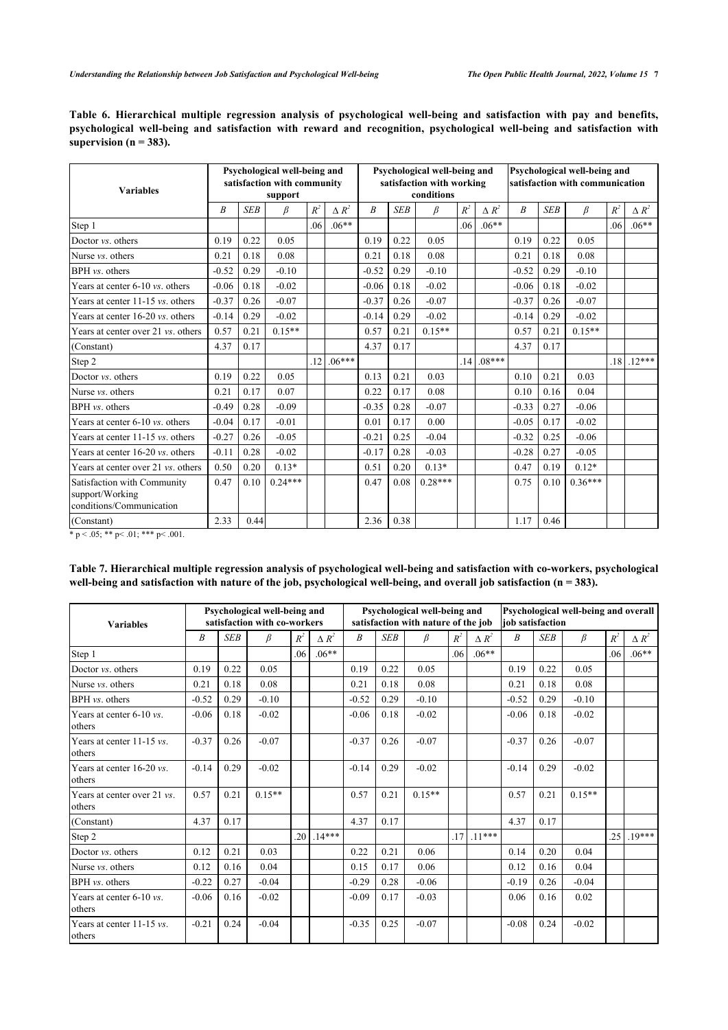|                            |  |  |  | Table 6. Hierarchical multiple regression analysis of psychological well-being and satisfaction with pay and benefits, |  |  |
|----------------------------|--|--|--|------------------------------------------------------------------------------------------------------------------------|--|--|
|                            |  |  |  | psychological well-being and satisfaction with reward and recognition, psychological well-being and satisfaction with  |  |  |
| supervision ( $n = 383$ ). |  |  |  |                                                                                                                        |  |  |

| <b>Variables</b>                                                           |         |            | Psychological well-being and<br>satisfaction with community<br>support |       |              |                  |            | Psychological well-being and<br>satisfaction with working<br>conditions |       |              |         |            | Psychological well-being and<br>satisfaction with communication |       | $\Delta R^2$<br>$.06***$ |  |  |
|----------------------------------------------------------------------------|---------|------------|------------------------------------------------------------------------|-------|--------------|------------------|------------|-------------------------------------------------------------------------|-------|--------------|---------|------------|-----------------------------------------------------------------|-------|--------------------------|--|--|
|                                                                            | B       | <b>SEB</b> | β                                                                      | $R^2$ | $\Delta R^2$ | $\boldsymbol{B}$ | <b>SEB</b> | β                                                                       | $R^2$ | $\Delta R^2$ | B       | <b>SEB</b> | β                                                               | $R^2$ |                          |  |  |
| Step 1                                                                     |         |            |                                                                        | .06   | $.06**$      |                  |            |                                                                         | .06   | $.06**$      |         |            |                                                                 | .06   |                          |  |  |
| Doctor vs. others                                                          | 0.19    | 0.22       | 0.05                                                                   |       |              | 0.19             | 0.22       | 0.05                                                                    |       |              | 0.19    | 0.22       | 0.05                                                            |       |                          |  |  |
| Nurse <i>vs.</i> others                                                    | 0.21    | 0.18       | 0.08                                                                   |       |              | 0.21             | 0.18       | 0.08                                                                    |       |              | 0.21    | 0.18       | 0.08                                                            |       |                          |  |  |
| BPH vs. others                                                             | $-0.52$ | 0.29       | $-0.10$                                                                |       |              | $-0.52$          | 0.29       | $-0.10$                                                                 |       |              | $-0.52$ | 0.29       | $-0.10$                                                         |       |                          |  |  |
| Years at center 6-10 vs. others                                            | $-0.06$ | 0.18       | $-0.02$                                                                |       |              | $-0.06$          | 0.18       | $-0.02$                                                                 |       |              | $-0.06$ | 0.18       | $-0.02$                                                         |       |                          |  |  |
| Years at center $11-15$ vs. others                                         | $-0.37$ | 0.26       | $-0.07$                                                                |       |              | $-0.37$          | 0.26       | $-0.07$                                                                 |       |              | $-0.37$ | 0.26       | $-0.07$                                                         |       |                          |  |  |
| Years at center 16-20 vs. others                                           | $-0.14$ | 0.29       | $-0.02$                                                                |       |              | $-0.14$          | 0.29       | $-0.02$                                                                 |       |              | $-0.14$ | 0.29       | $-0.02$                                                         |       |                          |  |  |
| Years at center over 21 <i>vs.</i> others                                  | 0.57    | 0.21       | $0.15**$                                                               |       |              | 0.57             | 0.21       | $0.15**$                                                                |       |              | 0.57    | 0.21       | $0.15**$                                                        |       |                          |  |  |
| (Constant)                                                                 | 4.37    | 0.17       |                                                                        |       |              | 4.37             | 0.17       |                                                                         |       |              | 4.37    | 0.17       |                                                                 |       |                          |  |  |
| Step 2                                                                     |         |            |                                                                        | .12   | $06***$      |                  |            |                                                                         | .14   | $.08***$     |         |            |                                                                 | .18   | $.12***$                 |  |  |
| Doctor vs. others                                                          | 0.19    | 0.22       | 0.05                                                                   |       |              | 0.13             | 0.21       | 0.03                                                                    |       |              | 0.10    | 0.21       | 0.03                                                            |       |                          |  |  |
| Nurse <i>vs.</i> others                                                    | 0.21    | 0.17       | 0.07                                                                   |       |              | 0.22             | 0.17       | 0.08                                                                    |       |              | 0.10    | 0.16       | 0.04                                                            |       |                          |  |  |
| BPH vs. others                                                             | $-0.49$ | 0.28       | $-0.09$                                                                |       |              | $-0.35$          | 0.28       | $-0.07$                                                                 |       |              | $-0.33$ | 0.27       | $-0.06$                                                         |       |                          |  |  |
| Years at center 6-10 vs. others                                            | $-0.04$ | 0.17       | $-0.01$                                                                |       |              | 0.01             | 0.17       | 0.00                                                                    |       |              | $-0.05$ | 0.17       | $-0.02$                                                         |       |                          |  |  |
| Years at center 11-15 vs. others                                           | $-0.27$ | 0.26       | $-0.05$                                                                |       |              | $-0.21$          | 0.25       | $-0.04$                                                                 |       |              | $-0.32$ | 0.25       | $-0.06$                                                         |       |                          |  |  |
| Years at center 16-20 vs. others                                           | $-0.11$ | 0.28       | $-0.02$                                                                |       |              | $-0.17$          | 0.28       | $-0.03$                                                                 |       |              | $-0.28$ | 0.27       | $-0.05$                                                         |       |                          |  |  |
| Years at center over 21 <i>vs.</i> others                                  | 0.50    | 0.20       | $0.13*$                                                                |       |              | 0.51             | 0.20       | $0.13*$                                                                 |       |              | 0.47    | 0.19       | $0.12*$                                                         |       |                          |  |  |
| Satisfaction with Community<br>support/Working<br>conditions/Communication | 0.47    | 0.10       | $0.24***$                                                              |       |              | 0.47             | 0.08       | $0.28***$                                                               |       |              | 0.75    | 0.10       | $0.36***$                                                       |       |                          |  |  |
| (Constant)                                                                 | 2.33    | 0.44       |                                                                        |       |              | 2.36             | 0.38       |                                                                         |       |              | 1.17    | 0.46       |                                                                 |       |                          |  |  |

 $* p < .05; ** p < .01; ** p < .001.$ 

<span id="page-6-0"></span>**Table 7. Hierarchical multiple regression analysis of psychological well-being and satisfaction with co-workers, psychological** well-being and satisfaction with nature of the job, psychological well-being, and overall job satisfaction (n = 383).

| <b>Variables</b>                               | Psychological well-being and<br>satisfaction with co-workers |            |          |       |              |                  |            | Psychological well-being and<br>satisfaction with nature of the job |       | Psychological well-being and overall<br><b>job</b> satisfaction |                  |            |          |       |              |
|------------------------------------------------|--------------------------------------------------------------|------------|----------|-------|--------------|------------------|------------|---------------------------------------------------------------------|-------|-----------------------------------------------------------------|------------------|------------|----------|-------|--------------|
|                                                | R                                                            | <b>SEB</b> | β        | $R^2$ | $\Delta R^2$ | $\boldsymbol{B}$ | <b>SEB</b> | β                                                                   | $R^2$ | $\Delta R^2$                                                    | $\boldsymbol{B}$ | <b>SEB</b> | β        | $R^2$ | $\Delta R^2$ |
| Step 1                                         |                                                              |            |          | .06   | $.06**$      |                  |            |                                                                     | .06   | $.06**$                                                         |                  |            |          | 06    | $.06**$      |
| Doctor vs. others                              | 0.19                                                         | 0.22       | 0.05     |       |              | 0.19             | 0.22       | 0.05                                                                |       |                                                                 | 0.19             | 0.22       | 0.05     |       |              |
| Nurse <i>vs.</i> others                        | 0.21                                                         | 0.18       | 0.08     |       |              | 0.21             | 0.18       | 0.08                                                                |       |                                                                 | 0.21             | 0.18       | 0.08     |       |              |
| BPH vs. others                                 | $-0.52$                                                      | 0.29       | $-0.10$  |       |              | $-0.52$          | 0.29       | $-0.10$                                                             |       |                                                                 | $-0.52$          | 0.29       | $-0.10$  |       |              |
| Years at center 6-10 vs.<br>lothers            | $-0.06$                                                      | 0.18       | $-0.02$  |       |              | $-0.06$          | 0.18       | $-0.02$                                                             |       |                                                                 | $-0.06$          | 0.18       | $-0.02$  |       |              |
| Years at center $11-15$ vs.<br>lothers         | $-0.37$                                                      | 0.26       | $-0.07$  |       |              | $-0.37$          | 0.26       | $-0.07$                                                             |       |                                                                 | $-0.37$          | 0.26       | $-0.07$  |       |              |
| Years at center $16-20$ vs.<br>lothers         | $-0.14$                                                      | 0.29       | $-0.02$  |       |              | $-0.14$          | 0.29       | $-0.02$                                                             |       |                                                                 | $-0.14$          | 0.29       | $-0.02$  |       |              |
| Years at center over 21 <i>vs</i> .<br>lothers | 0.57                                                         | 0.21       | $0.15**$ |       |              | 0.57             | 0.21       | $0.15**$                                                            |       |                                                                 | 0.57             | 0.21       | $0.15**$ |       |              |
| (Constant)                                     | 4.37                                                         | 0.17       |          |       |              | 4.37             | 0.17       |                                                                     |       |                                                                 | 4.37             | 0.17       |          |       |              |
| Step 2                                         |                                                              |            |          | .20   | $14***$      |                  |            |                                                                     |       | $.17$ .11***                                                    |                  |            |          | .25   | $.19***$     |
| Doctor <i>vs.</i> others                       | 0.12                                                         | 0.21       | 0.03     |       |              | 0.22             | 0.21       | 0.06                                                                |       |                                                                 | 0.14             | 0.20       | 0.04     |       |              |
| Nurse <i>vs.</i> others                        | 0.12                                                         | 0.16       | 0.04     |       |              | 0.15             | 0.17       | 0.06                                                                |       |                                                                 | 0.12             | 0.16       | 0.04     |       |              |
| BPH vs. others                                 | $-0.22$                                                      | 0.27       | $-0.04$  |       |              | $-0.29$          | 0.28       | $-0.06$                                                             |       |                                                                 | $-0.19$          | 0.26       | $-0.04$  |       |              |
| Years at center $6-10$ <i>vs.</i><br>lothers   | $-0.06$                                                      | 0.16       | $-0.02$  |       |              | $-0.09$          | 0.17       | $-0.03$                                                             |       |                                                                 | 0.06             | 0.16       | 0.02     |       |              |
| Years at center 11-15 vs.<br>lothers           | $-0.21$                                                      | 0.24       | $-0.04$  |       |              | $-0.35$          | 0.25       | $-0.07$                                                             |       |                                                                 | $-0.08$          | 0.24       | $-0.02$  |       |              |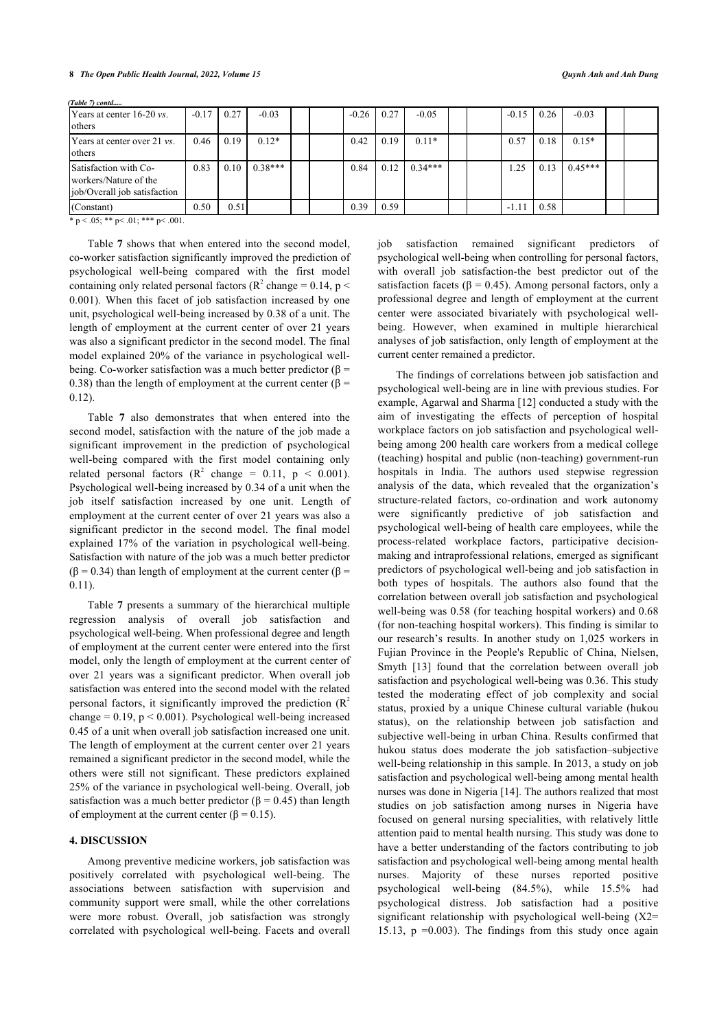| <b>IYears at center 16-20 vs.</b><br>others                                     | $-0.17$ | 0.27 | $-0.03$              |  | $-0.26$ | 0.27 | $-0.05$   |  | $-0.15$ | 0.26 | $-0.03$   |  |
|---------------------------------------------------------------------------------|---------|------|----------------------|--|---------|------|-----------|--|---------|------|-----------|--|
| Years at center over 21 <i>vs</i> .<br><b>l</b> others                          | 0.46    | 0.19 | $0.12*$              |  | 0.42    | 0.19 | $0.11*$   |  | 0.57    | 0.18 | $0.15*$   |  |
| Satisfaction with Co-<br>workers/Nature of the<br>ljob/Overall job satisfaction | 0.83    |      | $0.10 \cdot 0.38***$ |  | 0.84    | 0.12 | $0.34***$ |  | .25     | 0.13 | $0.45***$ |  |
| (Constant)                                                                      | 0.50    | 0.51 |                      |  | 0.39    | 0.59 |           |  |         | 0.58 |           |  |

*(Table 7) contd.....*

 $* p < .05; ** p < .01; ** p < .001.$ 

Table **[7](#page-6-0)** shows that when entered into the second model, co-worker satisfaction significantly improved the prediction of psychological well-being compared with the first model containing only related personal factors ( $\mathbb{R}^2$  change = 0.14, p < 0.001). When this facet of job satisfaction increased by one unit, psychological well-being increased by 0.38 of a unit. The length of employment at the current center of over 21 years was also a significant predictor in the second model. The final model explained 20% of the variance in psychological wellbeing. Co-worker satisfaction was a much better predictor ( $\beta$  = 0.38) than the length of employment at the current center ( $\beta$  = 0.12).

Table**7** also demonstrates that when entered into the second model, satisfaction with the nature of the job made a significant improvement in the prediction of psychological well-being compared with the first model containing only related personal factors ( $R^2$  change = 0.11,  $p < 0.001$ ). Psychological well-being increased by 0.34 of a unit when the job itself satisfaction increased by one unit. Length of employment at the current center of over 21 years was also a significant predictor in the second model. The final model explained 17% of the variation in psychological well-being. Satisfaction with nature of the job was a much better predictor  $(β = 0.34)$  than length of employment at the current center  $(β =$ 0.11).

Table **[7](#page-6-0)** presents a summary of the hierarchical multiple regression analysis of overall job satisfaction and psychological well-being. When professional degree and length of employment at the current center were entered into the first model, only the length of employment at the current center of over 21 years was a significant predictor. When overall job satisfaction was entered into the second model with the related personal factors, it significantly improved the prediction  $(R^2)$ change =  $0.19$ ,  $p \le 0.001$ ). Psychological well-being increased 0.45 of a unit when overall job satisfaction increased one unit. The length of employment at the current center over 21 years remained a significant predictor in the second model, while the others were still not significant. These predictors explained 25% of the variance in psychological well-being. Overall, job satisfaction was a much better predictor ( $\beta$  = 0.45) than length of employment at the current center ( $\beta = 0.15$ ).

## **4. DISCUSSION**

Among preventive medicine workers, job satisfaction was positively correlated with psychological well-being. The associations between satisfaction with supervision and community support were small, while the other correlations were more robust. Overall, job satisfaction was strongly correlated with psychological well-being. Facets and overall job satisfaction remained significant predictors of psychological well-being when controlling for personal factors, with overall job satisfaction-the best predictor out of the satisfaction facets ( $\beta$  = 0.45). Among personal factors, only a professional degree and length of employment at the current center were associated bivariately with psychological wellbeing. However, when examined in multiple hierarchical analyses of job satisfaction, only length of employment at the current center remained a predictor.

The findings of correlations between job satisfaction and psychological well-being are in line with previous studies. For example, Agarwal and Sharma [\[12\]](#page-9-3) conducted a study with the aim of investigating the effects of perception of hospital workplace factors on job satisfaction and psychological wellbeing among 200 health care workers from a medical college (teaching) hospital and public (non-teaching) government-run hospitals in India. The authors used stepwise regression analysis of the data, which revealed that the organization's structure-related factors, co-ordination and work autonomy were significantly predictive of job satisfaction and psychological well-being of health care employees, while the process-related workplace factors, participative decisionmaking and intraprofessional relations, emerged as significant predictors of psychological well-being and job satisfaction in both types of hospitals. The authors also found that the correlation between overall job satisfaction and psychological well-being was 0.58 (for teaching hospital workers) and 0.68 (for non-teaching hospital workers). This finding is similar to our research's results. In another study on 1,025 workers in Fujian Province in the People's Republic of China, Nielsen, Smyth[[13\]](#page-9-0) found that the correlation between overall job satisfaction and psychological well-being was 0.36. This study tested the moderating effect of job complexity and social status, proxied by a unique Chinese cultural variable (hukou status), on the relationship between job satisfaction and subjective well-being in urban China. Results confirmed that hukou status does moderate the job satisfaction–subjective well-being relationship in this sample. In 2013, a study on job satisfaction and psychological well-being among mental health nurses was done in Nigeria [\[14](#page-9-4)]. The authors realized that most studies on job satisfaction among nurses in Nigeria have focused on general nursing specialities, with relatively little attention paid to mental health nursing. This study was done to have a better understanding of the factors contributing to job satisfaction and psychological well-being among mental health nurses. Majority of these nurses reported positive psychological well-being (84.5%), while 15.5% had psychological distress. Job satisfaction had a positive significant relationship with psychological well-being (X2= 15.13,  $p = 0.003$ ). The findings from this study once again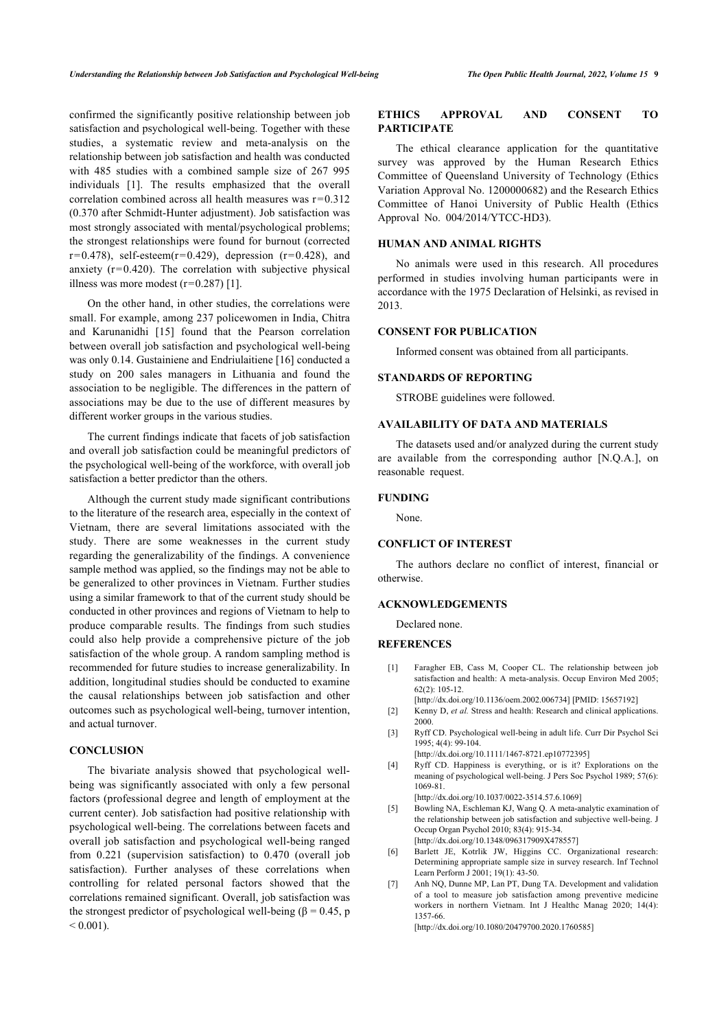confirmed the significantly positive relationship between job satisfaction and psychological well-being. Together with these studies, a systematic review and meta-analysis on the relationship between job satisfaction and health was conducted with 485 studies with a combined sample size of 267 995 individuals[[1\]](#page-8-0). The results emphasized that the overall correlation combined across all health measures was  $r=0.312$ (0.370 after Schmidt-Hunter adjustment). Job satisfaction was most strongly associated with mental/psychological problems; the strongest relationships were found for burnout (corrected  $r=0.478$ ), self-esteem( $r=0.429$ ), depression ( $r=0.428$ ), and anxiety ( $r=0.420$ ). The correlation with subjective physical illness was more modest  $(r=0.287)$  [\[1\]](#page-8-0).

On the other hand, in other studies, the correlations were small. For example, among 237 policewomen in India, Chitra and Karunanidhi [\[15\]](#page-9-5) found that the Pearson correlation between overall job satisfaction and psychological well-being was only 0.14. Gustainiene and Endriulaitiene [[16\]](#page-9-6) conducted a study on 200 sales managers in Lithuania and found the association to be negligible. The differences in the pattern of associations may be due to the use of different measures by different worker groups in the various studies.

The current findings indicate that facets of job satisfaction and overall job satisfaction could be meaningful predictors of the psychological well-being of the workforce, with overall job satisfaction a better predictor than the others.

Although the current study made significant contributions to the literature of the research area, especially in the context of Vietnam, there are several limitations associated with the study. There are some weaknesses in the current study regarding the generalizability of the findings. A convenience sample method was applied, so the findings may not be able to be generalized to other provinces in Vietnam. Further studies using a similar framework to that of the current study should be conducted in other provinces and regions of Vietnam to help to produce comparable results. The findings from such studies could also help provide a comprehensive picture of the job satisfaction of the whole group. A random sampling method is recommended for future studies to increase generalizability. In addition, longitudinal studies should be conducted to examine the causal relationships between job satisfaction and other outcomes such as psychological well-being, turnover intention, and actual turnover.

#### <span id="page-8-2"></span><span id="page-8-1"></span><span id="page-8-0"></span>**CONCLUSION**

<span id="page-8-7"></span><span id="page-8-6"></span><span id="page-8-5"></span><span id="page-8-4"></span><span id="page-8-3"></span>The bivariate analysis showed that psychological wellbeing was significantly associated with only a few personal factors (professional degree and length of employment at the current center). Job satisfaction had positive relationship with psychological well-being. The correlations between facets and overall job satisfaction and psychological well-being ranged from 0.221 (supervision satisfaction) to 0.470 (overall job satisfaction). Further analyses of these correlations when controlling for related personal factors showed that the correlations remained significant. Overall, job satisfaction was the strongest predictor of psychological well-being ( $\beta$  = 0.45, p  $< 0.001$ ).

## **ETHICS APPROVAL AND CONSENT TO PARTICIPATE**

The ethical clearance application for the quantitative survey was approved by the Human Research Ethics Committee of Queensland University of Technology (Ethics Variation Approval No. 1200000682) and the Research Ethics Committee of Hanoi University of Public Health (Ethics Approval No. 004/2014/YTCC-HD3).

## **HUMAN AND ANIMAL RIGHTS**

No animals were used in this research. All procedures performed in studies involving human participants were in accordance with the 1975 Declaration of Helsinki, as revised in 2013.

## **CONSENT FOR PUBLICATION**

Informed consent was obtained from all participants.

#### **STANDARDS OF REPORTING**

STROBE guidelines were followed.

## **AVAILABILITY OF DATA AND MATERIALS**

The datasets used and/or analyzed during the current study are available from the corresponding author [N.Q.A.], on reasonable request.

#### **FUNDING**

None.

## **CONFLICT OF INTEREST**

The authors declare no conflict of interest, financial or otherwise.

## **ACKNOWLEDGEMENTS**

Declared none.

## **REFERENCES**

- [1] Faragher EB, Cass M, Cooper CL. The relationship between job satisfaction and health: A meta-analysis. Occup Environ Med 2005; 62(2): 105-12.
	- [\[http://dx.doi.org/10.1136/oem.2002.006734](http://dx.doi.org/10.1136/oem.2002.006734)] [PMID: [15657192\]](http://www.ncbi.nlm.nih.gov/pubmed/15657192)
- [2] Kenny D, *et al.* Stress and health: Research and clinical applications. 2000.
- [3] Ryff CD. Psychological well-being in adult life. Curr Dir Psychol Sci 1995; 4(4): 99-104.
- [\[http://dx.doi.org/10.1111/1467-8721.ep10772395](http://dx.doi.org/10.1111/1467-8721.ep10772395)]
- [4] Ryff CD. Happiness is everything, or is it? Explorations on the meaning of psychological well-being. J Pers Soc Psychol 1989; 57(6): 1069-81.

[\[http://dx.doi.org/10.1037/0022-3514.57.6.1069\]](http://dx.doi.org/10.1037/0022-3514.57.6.1069)

- [5] Bowling NA, Eschleman KJ, Wang Q. A meta-analytic examination of the relationship between job satisfaction and subjective well-being. J Occup Organ Psychol 2010; 83(4): 915-34. [\[http://dx.doi.org/10.1348/096317909X478557](http://dx.doi.org/10.1348/096317909X478557)]
- [6] Barlett JE, Kotrlik JW, Higgins CC. Organizational research: Determining appropriate sample size in survey research. Inf Technol Learn Perform J 2001; 19(1): 43-50.
- [7] Anh NQ, Dunne MP, Lan PT, Dung TA. Development and validation of a tool to measure job satisfaction among preventive medicine workers in northern Vietnam. Int J Healthc Manag 2020; 14(4): 1357-66.

[\[http://dx.doi.org/10.1080/20479700.2020.1760585](http://dx.doi.org/10.1080/20479700.2020.1760585)]